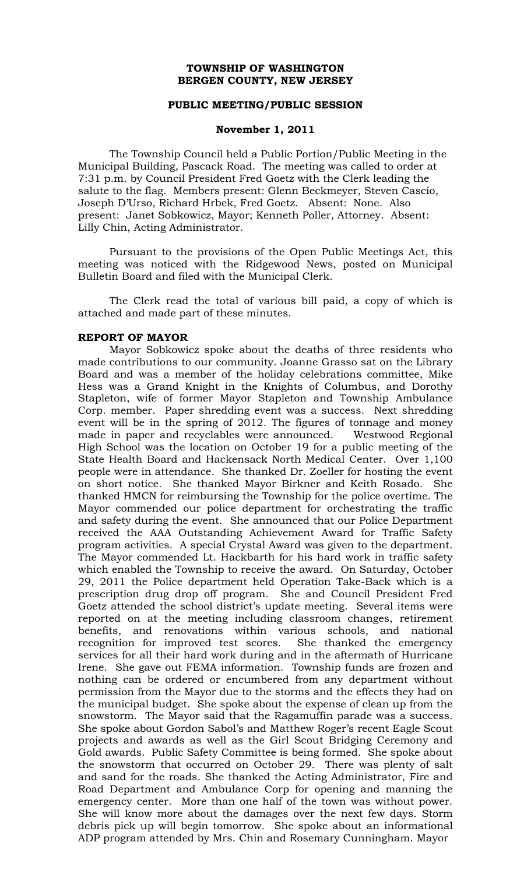### **TOWNSHIP OF WASHINGTON BERGEN COUNTY, NEW JERSEY**

### **PUBLIC MEETING/PUBLIC SESSION**

### **November 1, 2011**

The Township Council held a Public Portion/Public Meeting in the Municipal Building, Pascack Road. The meeting was called to order at 7:31 p.m. by Council President Fred Goetz with the Clerk leading the salute to the flag. Members present: Glenn Beckmeyer, Steven Cascio, Joseph D'Urso, Richard Hrbek, Fred Goetz. Absent: None. Also present: Janet Sobkowicz, Mayor; Kenneth Poller, Attorney. Absent: Lilly Chin, Acting Administrator.

Pursuant to the provisions of the Open Public Meetings Act, this meeting was noticed with the Ridgewood News, posted on Municipal Bulletin Board and filed with the Municipal Clerk.

The Clerk read the total of various bill paid, a copy of which is attached and made part of these minutes.

### **REPORT OF MAYOR**

Mayor Sobkowicz spoke about the deaths of three residents who made contributions to our community. Joanne Grasso sat on the Library Board and was a member of the holiday celebrations committee, Mike Hess was a Grand Knight in the Knights of Columbus, and Dorothy Stapleton, wife of former Mayor Stapleton and Township Ambulance Corp. member. Paper shredding event was a success. Next shredding event will be in the spring of 2012. The figures of tonnage and money made in paper and recyclables were announced. Westwood Regional High School was the location on October 19 for a public meeting of the State Health Board and Hackensack North Medical Center. Over 1,100 people were in attendance. She thanked Dr. Zoeller for hosting the event on short notice. She thanked Mayor Birkner and Keith Rosado. She thanked HMCN for reimbursing the Township for the police overtime. The Mayor commended our police department for orchestrating the traffic and safety during the event. She announced that our Police Department received the AAA Outstanding Achievement Award for Traffic Safety program activities. A special Crystal Award was given to the department. The Mayor commended Lt. Hackbarth for his hard work in traffic safety which enabled the Township to receive the award. On Saturday, October 29, 2011 the Police department held Operation Take-Back which is a prescription drug drop off program. She and Council President Fred Goetz attended the school district's update meeting. Several items were reported on at the meeting including classroom changes, retirement benefits, and renovations within various schools, and national recognition for improved test scores. She thanked the emergency services for all their hard work during and in the aftermath of Hurricane Irene. She gave out FEMA information. Township funds are frozen and nothing can be ordered or encumbered from any department without permission from the Mayor due to the storms and the effects they had on the municipal budget. She spoke about the expense of clean up from the snowstorm. The Mayor said that the Ragamuffin parade was a success. She spoke about Gordon Sabol's and Matthew Roger's recent Eagle Scout projects and awards as well as the Girl Scout Bridging Ceremony and Gold awards. Public Safety Committee is being formed. She spoke about the snowstorm that occurred on October 29. There was plenty of salt and sand for the roads. She thanked the Acting Administrator, Fire and Road Department and Ambulance Corp for opening and manning the emergency center. More than one half of the town was without power. She will know more about the damages over the next few days. Storm debris pick up will begin tomorrow. She spoke about an informational ADP program attended by Mrs. Chin and Rosemary Cunningham. Mayor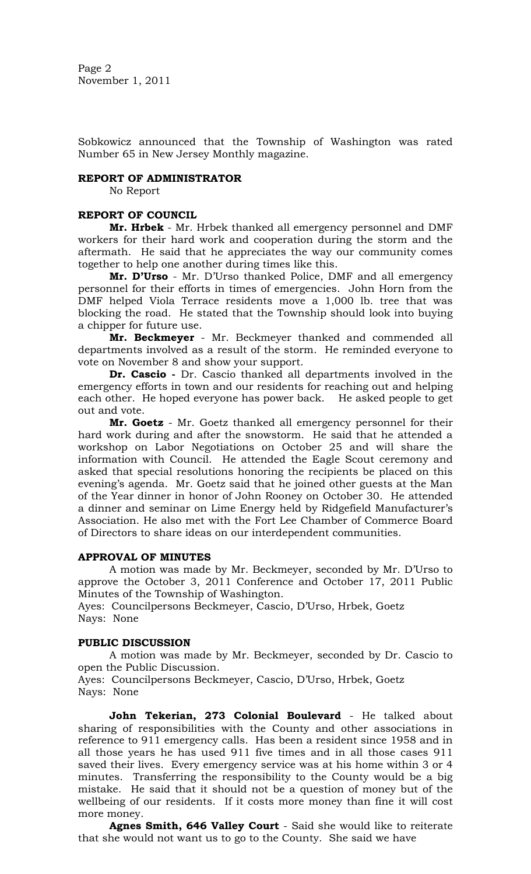Sobkowicz announced that the Township of Washington was rated Number 65 in New Jersey Monthly magazine.

### **REPORT OF ADMINISTRATOR**

No Report

# **REPORT OF COUNCIL**

**Mr. Hrbek** - Mr. Hrbek thanked all emergency personnel and DMF workers for their hard work and cooperation during the storm and the aftermath. He said that he appreciates the way our community comes together to help one another during times like this.

**Mr. D'Urso** - Mr. D'Urso thanked Police, DMF and all emergency personnel for their efforts in times of emergencies. John Horn from the DMF helped Viola Terrace residents move a 1,000 lb. tree that was blocking the road. He stated that the Township should look into buying a chipper for future use.

**Mr. Beckmeyer** - Mr. Beckmeyer thanked and commended all departments involved as a result of the storm. He reminded everyone to vote on November 8 and show your support.

**Dr. Cascio -** Dr. Cascio thanked all departments involved in the emergency efforts in town and our residents for reaching out and helping each other. He hoped everyone has power back. He asked people to get out and vote.

**Mr. Goetz** - Mr. Goetz thanked all emergency personnel for their hard work during and after the snowstorm. He said that he attended a workshop on Labor Negotiations on October 25 and will share the information with Council. He attended the Eagle Scout ceremony and asked that special resolutions honoring the recipients be placed on this evening's agenda. Mr. Goetz said that he joined other guests at the Man of the Year dinner in honor of John Rooney on October 30. He attended a dinner and seminar on Lime Energy held by Ridgefield Manufacturer's Association. He also met with the Fort Lee Chamber of Commerce Board of Directors to share ideas on our interdependent communities.

# **APPROVAL OF MINUTES**

A motion was made by Mr. Beckmeyer, seconded by Mr. D'Urso to approve the October 3, 2011 Conference and October 17, 2011 Public Minutes of the Township of Washington.

Ayes: Councilpersons Beckmeyer, Cascio, D'Urso, Hrbek, Goetz Nays: None

# **PUBLIC DISCUSSION**

A motion was made by Mr. Beckmeyer, seconded by Dr. Cascio to open the Public Discussion.

Ayes: Councilpersons Beckmeyer, Cascio, D'Urso, Hrbek, Goetz Nays: None

**John Tekerian, 273 Colonial Boulevard** - He talked about sharing of responsibilities with the County and other associations in reference to 911 emergency calls. Has been a resident since 1958 and in all those years he has used 911 five times and in all those cases 911 saved their lives. Every emergency service was at his home within 3 or 4 minutes. Transferring the responsibility to the County would be a big mistake. He said that it should not be a question of money but of the wellbeing of our residents. If it costs more money than fine it will cost more money.

**Agnes Smith, 646 Valley Court** - Said she would like to reiterate that she would not want us to go to the County. She said we have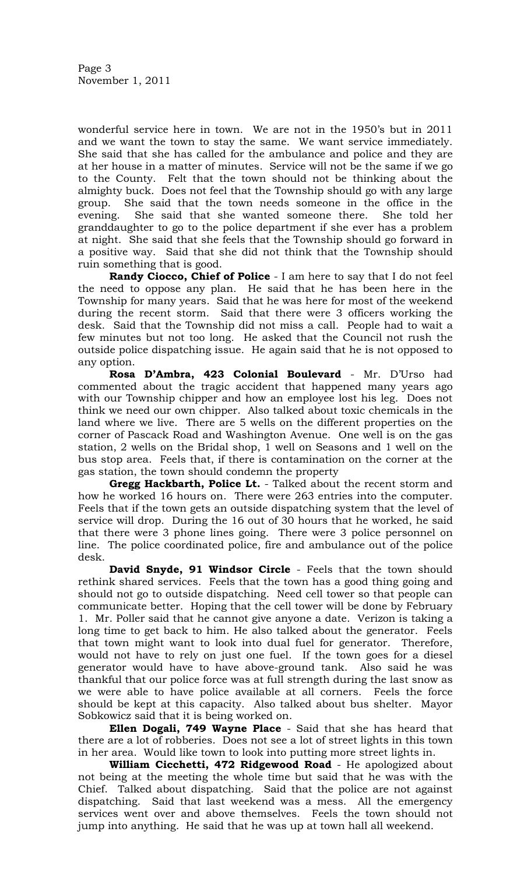wonderful service here in town. We are not in the 1950's but in 2011 and we want the town to stay the same. We want service immediately. She said that she has called for the ambulance and police and they are at her house in a matter of minutes. Service will not be the same if we go to the County. Felt that the town should not be thinking about the almighty buck. Does not feel that the Township should go with any large group. She said that the town needs someone in the office in the evening. She said that she wanted someone there. She told her granddaughter to go to the police department if she ever has a problem at night. She said that she feels that the Township should go forward in a positive way. Said that she did not think that the Township should ruin something that is good.

**Randy Ciocco, Chief of Police** - I am here to say that I do not feel the need to oppose any plan. He said that he has been here in the Township for many years. Said that he was here for most of the weekend during the recent storm. Said that there were 3 officers working the desk. Said that the Township did not miss a call. People had to wait a few minutes but not too long. He asked that the Council not rush the outside police dispatching issue. He again said that he is not opposed to any option.

**Rosa D'Ambra, 423 Colonial Boulevard** - Mr. D'Urso had commented about the tragic accident that happened many years ago with our Township chipper and how an employee lost his leg. Does not think we need our own chipper. Also talked about toxic chemicals in the land where we live. There are 5 wells on the different properties on the corner of Pascack Road and Washington Avenue. One well is on the gas station, 2 wells on the Bridal shop, 1 well on Seasons and 1 well on the bus stop area. Feels that, if there is contamination on the corner at the gas station, the town should condemn the property

**Gregg Hackbarth, Police Lt.** - Talked about the recent storm and how he worked 16 hours on. There were 263 entries into the computer. Feels that if the town gets an outside dispatching system that the level of service will drop. During the 16 out of 30 hours that he worked, he said that there were 3 phone lines going. There were 3 police personnel on line. The police coordinated police, fire and ambulance out of the police desk.

**David Snyde, 91 Windsor Circle** - Feels that the town should rethink shared services. Feels that the town has a good thing going and should not go to outside dispatching. Need cell tower so that people can communicate better. Hoping that the cell tower will be done by February 1. Mr. Poller said that he cannot give anyone a date. Verizon is taking a long time to get back to him. He also talked about the generator. Feels that town might want to look into dual fuel for generator. Therefore, would not have to rely on just one fuel. If the town goes for a diesel generator would have to have above-ground tank. Also said he was thankful that our police force was at full strength during the last snow as we were able to have police available at all corners. Feels the force should be kept at this capacity. Also talked about bus shelter. Mayor Sobkowicz said that it is being worked on.

**Ellen Dogali, 749 Wayne Place** - Said that she has heard that there are a lot of robberies. Does not see a lot of street lights in this town in her area. Would like town to look into putting more street lights in.

**William Cicchetti, 472 Ridgewood Road** - He apologized about not being at the meeting the whole time but said that he was with the Chief. Talked about dispatching. Said that the police are not against dispatching. Said that last weekend was a mess. All the emergency services went over and above themselves. Feels the town should not jump into anything. He said that he was up at town hall all weekend.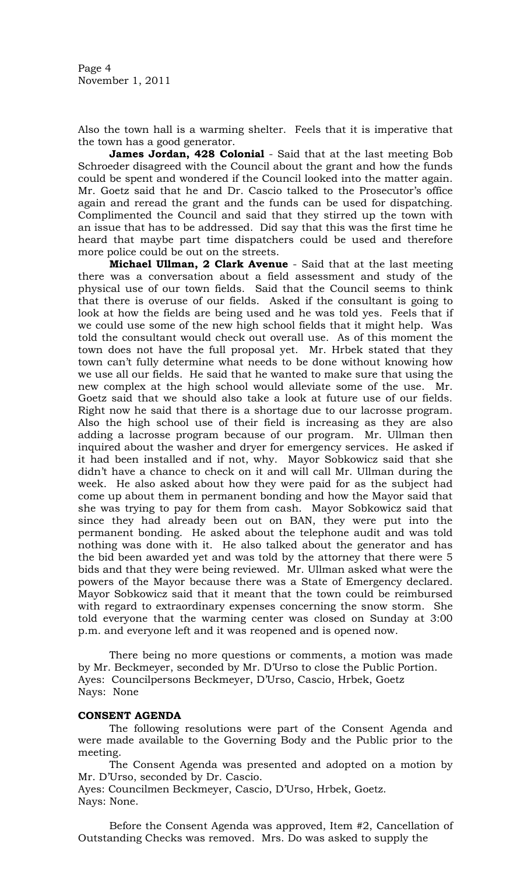Also the town hall is a warming shelter. Feels that it is imperative that the town has a good generator.

**James Jordan, 428 Colonial** - Said that at the last meeting Bob Schroeder disagreed with the Council about the grant and how the funds could be spent and wondered if the Council looked into the matter again. Mr. Goetz said that he and Dr. Cascio talked to the Prosecutor's office again and reread the grant and the funds can be used for dispatching. Complimented the Council and said that they stirred up the town with an issue that has to be addressed. Did say that this was the first time he heard that maybe part time dispatchers could be used and therefore more police could be out on the streets.

**Michael Ullman, 2 Clark Avenue** - Said that at the last meeting there was a conversation about a field assessment and study of the physical use of our town fields. Said that the Council seems to think that there is overuse of our fields. Asked if the consultant is going to look at how the fields are being used and he was told yes. Feels that if we could use some of the new high school fields that it might help. Was told the consultant would check out overall use. As of this moment the town does not have the full proposal yet. Mr. Hrbek stated that they town can't fully determine what needs to be done without knowing how we use all our fields. He said that he wanted to make sure that using the new complex at the high school would alleviate some of the use. Mr. Goetz said that we should also take a look at future use of our fields. Right now he said that there is a shortage due to our lacrosse program. Also the high school use of their field is increasing as they are also adding a lacrosse program because of our program. Mr. Ullman then inquired about the washer and dryer for emergency services. He asked if it had been installed and if not, why. Mayor Sobkowicz said that she didn't have a chance to check on it and will call Mr. Ullman during the week. He also asked about how they were paid for as the subject had come up about them in permanent bonding and how the Mayor said that she was trying to pay for them from cash. Mayor Sobkowicz said that since they had already been out on BAN, they were put into the permanent bonding. He asked about the telephone audit and was told nothing was done with it. He also talked about the generator and has the bid been awarded yet and was told by the attorney that there were 5 bids and that they were being reviewed. Mr. Ullman asked what were the powers of the Mayor because there was a State of Emergency declared. Mayor Sobkowicz said that it meant that the town could be reimbursed with regard to extraordinary expenses concerning the snow storm. She told everyone that the warming center was closed on Sunday at 3:00 p.m. and everyone left and it was reopened and is opened now.

There being no more questions or comments, a motion was made by Mr. Beckmeyer, seconded by Mr. D'Urso to close the Public Portion. Ayes: Councilpersons Beckmeyer, D'Urso, Cascio, Hrbek, Goetz Nays: None

# **CONSENT AGENDA**

The following resolutions were part of the Consent Agenda and were made available to the Governing Body and the Public prior to the meeting.

The Consent Agenda was presented and adopted on a motion by Mr. D'Urso, seconded by Dr. Cascio.

Ayes: Councilmen Beckmeyer, Cascio, D'Urso, Hrbek, Goetz. Nays: None.

Before the Consent Agenda was approved, Item #2, Cancellation of Outstanding Checks was removed. Mrs. Do was asked to supply the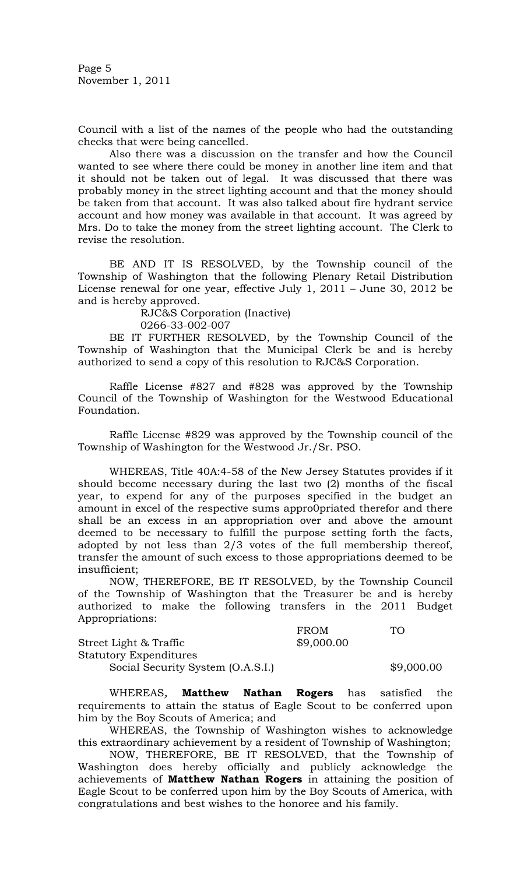Page 5 November 1, 2011

Council with a list of the names of the people who had the outstanding checks that were being cancelled.

Also there was a discussion on the transfer and how the Council wanted to see where there could be money in another line item and that it should not be taken out of legal. It was discussed that there was probably money in the street lighting account and that the money should be taken from that account. It was also talked about fire hydrant service account and how money was available in that account. It was agreed by Mrs. Do to take the money from the street lighting account. The Clerk to revise the resolution.

BE AND IT IS RESOLVED, by the Township council of the Township of Washington that the following Plenary Retail Distribution License renewal for one year, effective July 1, 2011 – June 30, 2012 be and is hereby approved.

RJC&S Corporation (Inactive)

0266-33-002-007

BE IT FURTHER RESOLVED, by the Township Council of the Township of Washington that the Municipal Clerk be and is hereby authorized to send a copy of this resolution to RJC&S Corporation.

Raffle License #827 and #828 was approved by the Township Council of the Township of Washington for the Westwood Educational Foundation.

Raffle License #829 was approved by the Township council of the Township of Washington for the Westwood Jr./Sr. PSO.

WHEREAS, Title 40A:4-58 of the New Jersey Statutes provides if it should become necessary during the last two (2) months of the fiscal year, to expend for any of the purposes specified in the budget an amount in excel of the respective sums appro0priated therefor and there shall be an excess in an appropriation over and above the amount deemed to be necessary to fulfill the purpose setting forth the facts, adopted by not less than 2/3 votes of the full membership thereof, transfer the amount of such excess to those appropriations deemed to be insufficient;

NOW, THEREFORE, BE IT RESOLVED, by the Township Council of the Township of Washington that the Treasurer be and is hereby authorized to make the following transfers in the 2011 Budget Appropriations:

|                                   | <b>FROM</b> | TО         |
|-----------------------------------|-------------|------------|
| Street Light & Traffic            | \$9,000.00  |            |
| <b>Statutory Expenditures</b>     |             |            |
| Social Security System (O.A.S.I.) |             | \$9,000.00 |

WHEREAS*,* **Matthew Nathan Rogers** has satisfied the requirements to attain the status of Eagle Scout to be conferred upon him by the Boy Scouts of America; and

WHEREAS, the Township of Washington wishes to acknowledge this extraordinary achievement by a resident of Township of Washington;

NOW, THEREFORE, BE IT RESOLVED, that the Township of Washington does hereby officially and publicly acknowledge the achievements of **Matthew Nathan Rogers** in attaining the position of Eagle Scout to be conferred upon him by the Boy Scouts of America, with congratulations and best wishes to the honoree and his family.